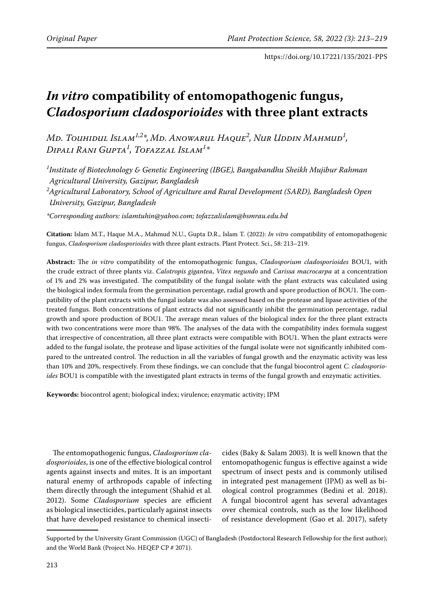# *In vitro* **compatibility of entomopathogenic fungus,**  *Cladosporium cladosporioides* **with three plant extracts**

Md. Touhidul Islam<sup>1,2</sup>\*,Md. Anowarul Haque<sup>2</sup>, Nur Uddin Mahmud<sup>1</sup>, *Dipali Rani Gupta1 , Tofazzal Islam1 \**

*1 Institute of Biotechnology & Genetic Engineering (IBGE), Bangabandhu Sheikh Mujibur Rahman Agricultural University, Gazipur, Bangladesh 2 Agricultural Laboratory, School of Agriculture and Rural Development (SARD), Bangladesh Open University, Gazipur, Bangladesh*

*\*Corresponding authors: islamtuhin@yahoo.com; tofazzalislam@bsmrau.edu.bd* 

**Citation:** Islam M.T., Haque M.A., Mahmud N.U., Gupta D.R., Islam T. (2022): *In vitro* compatibility of entomopathogenic fungus, *Cladosporium cladosporioides* with three plant extracts. Plant Protect. Sci., 58: 213–219.

**Abstract:** The *in vitro* compatibility of the entomopathogenic fungus, *Cladosporium cladosporioides* BOU1, with the crude extract of three plants viz. *Calotropis gigantea*, *Vitex negundo* and *Carissa macrocarpa* at a concentration of 1% and 2% was investigated. The compatibility of the fungal isolate with the plant extracts was calculated using the biological index formula from the germination percentage, radial growth and spore production of BOU1. The compatibility of the plant extracts with the fungal isolate was also assessed based on the protease and lipase activities of the treated fungus. Both concentrations of plant extracts did not significantly inhibit the germination percentage, radial growth and spore production of BOU1. The average mean values of the biological index for the three plant extracts with two concentrations were more than 98%. The analyses of the data with the compatibility index formula suggest that irrespective of concentration, all three plant extracts were compatible with BOU1. When the plant extracts were added to the fungal isolate, the protease and lipase activities of the fungal isolate were not significantly inhibited compared to the untreated control. The reduction in all the variables of fungal growth and the enzymatic activity was less than 10% and 20%, respectively. From these findings, we can conclude that the fungal biocontrol agent *C. cladosporioides* BOU1 is compatible with the investigated plant extracts in terms of the fungal growth and enzymatic activities.

**Keywords:** biocontrol agent; biological index; virulence; enzymatic activity; IPM

The entomopathogenic fungus, *Cladosporium cladosporioides*, is one of the effective biological control agents against insects and mites. It is an important natural enemy of arthropods capable of infecting them directly through the integument (Shahid et al. 2012). Some *Cladosporium* species are efficient as biological insecticides, particularly against insects that have developed resistance to chemical insecti-

cides (Baky & Salam 2003). It is well known that the entomopathogenic fungus is effective against a wide spectrum of insect pests and is commonly utilised in integrated pest management (IPM) as well as biological control programmes (Bedini et al. 2018). A fungal biocontrol agent has several advantages over chemical controls, such as the low likelihood of resistance development (Gao et al. 2017), safety

Supported by the University Grant Commission (UGC) of Bangladesh (Postdoctoral Research Fellowship for the first author); and the World Bank (Project No. HEQEP CP # 2071).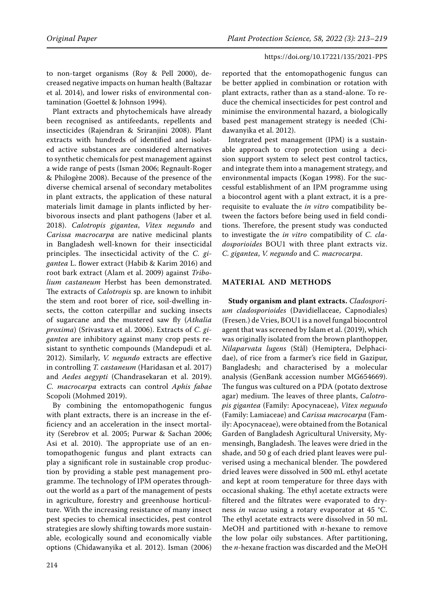to non-target organisms (Roy & Pell 2000), decreased negative impacts on human health (Baltazar et al. 2014), and lower risks of environmental contamination (Goettel & Johnson 1994).

Plant extracts and phytochemicals have already been recognised as antifeedants, repellents and insecticides (Rajendran & Sriranjini 2008). Plant extracts with hundreds of identified and isolated active substances are considered alternatives to synthetic chemicals for pest management against a wide range of pests (Isman 2006; Regnault-Roger & Philogène 2008). Because of the presence of the diverse chemical arsenal of secondary metabolites in plant extracts, the application of these natural materials limit damage in plants inflicted by herbivorous insects and plant pathogens (Jaber et al. 2018). *Calotropis gigantea*, *Vitex negundo* and *Carissa macrocarpa* are native medicinal plants in Bangladesh well-known for their insecticidal principles. The insecticidal activity of the *C. gigantea* L. flower extract (Habib & Karim 2016) and root bark extract (Alam et al. 2009) against *Tribolium castaneum* Herbst has been demonstrated. The extracts of *Calotropis* sp. are known to inhibit the stem and root borer of rice, soil-dwelling insects, the cotton caterpillar and sucking insects of sugarcane and the mustered saw fly (*Athalia proxima*) (Srivastava et al. 2006). Extracts of *C. gigantea* are inhibitory against many crop pests resistant to synthetic compounds (Mandepudi et al. 2012). Similarly, *V. negundo* extracts are effective in controlling *T. castaneum* (Haridasan et al. 2017) and *Aedes aegypti* (Chandrasekaran et al. 2019). *C. macrocarpa* extracts can control *Aphis fabae*  Scopoli (Mohmed 2019).

By combining the entomopathogenic fungus with plant extracts, there is an increase in the efficiency and an acceleration in the insect mortality (Serebrov et al. 2005; Purwar & Sachan 2006; Asi et al. 2010). The appropriate use of an entomopathogenic fungus and plant extracts can play a significant role in sustainable crop production by providing a stable pest management programme. The technology of IPM operates throughout the world as a part of the management of pests in agriculture, forestry and greenhouse horticulture. With the increasing resistance of many insect pest species to chemical insecticides, pest control strategies are slowly shifting towards more sustainable, ecologically sound and economically viable options (Chidawanyika et al. 2012). Isman (2006) reported that the entomopathogenic fungus can be better applied in combination or rotation with plant extracts, rather than as a stand-alone. To reduce the chemical insecticides for pest control and minimise the environmental hazard, a biologically based pest management strategy is needed (Chidawanyika et al. 2012).

Integrated pest management (IPM) is a sustainable approach to crop protection using a decision support system to select pest control tactics, and integrate them into a management strategy, and environmental impacts (Kogan 1998). For the successful establishment of an IPM programme using a biocontrol agent with a plant extract, it is a prerequisite to evaluate the *in vitro* compatibility between the factors before being used in field conditions. Therefore, the present study was conducted to investigate the *in vitro* compatibility of *C. cladosporioides* BOU1 with three plant extracts viz. *C. gigantea*, *V. negundo* and *C. macrocarpa*.

## **MATERIAL AND METHODS**

**Study organism and plant extracts.** *Cladosporium cladosporioides* (Davidiellaceae, Capnodiales) (Fresen.) de Vries, BOU1 is a novel fungal biocontrol agent that was screened by Islam et al. (2019), which was originally isolated from the brown planthopper, *Nilaparvata lugens* (Stål) (Hemiptera, Delphacidae), of rice from a farmer's rice field in Gazipur, Bangladesh; and characterised by a molecular analysis (GenBank accession number MG654669). The fungus was cultured on a PDA (potato dextrose agar) medium. The leaves of three plants, *Calotropis gigantea* (Family: Apocynaceae), *Vitex negundo* (Family: Lamiaceae) and *Carissa macrocarpa* (Family: Apocynaceae), were obtained from the Botanical Garden of Bangladesh Agricultural University, Mymensingh, Bangladesh. The leaves were dried in the shade, and 50 g of each dried plant leaves were pulverised using a mechanical blender. The powdered dried leaves were dissolved in 500 mL ethyl acetate and kept at room temperature for three days with occasional shaking. The ethyl acetate extracts were filtered and the filtrates were evaporated to dryness *in vacuo* using a rotary evaporator at 45 °C. The ethyl acetate extracts were dissolved in 50 mL MeOH and partitioned with *n*-hexane to remove the low polar oily substances. After partitioning, the *n*-hexane fraction was discarded and the MeOH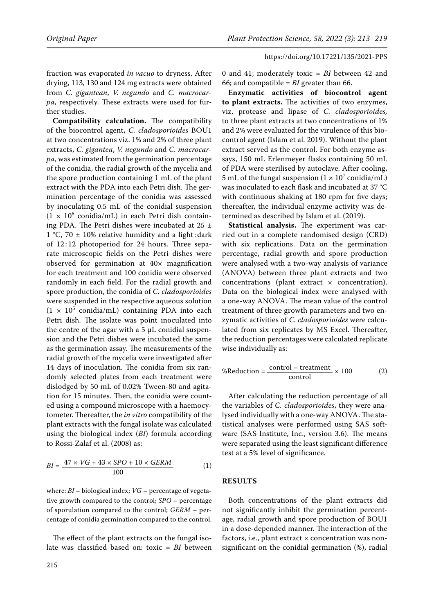fraction was evaporated *in vacuo* to dryness. After drying, 113, 130 and 124 mg extracts were obtained from *C. gigantean*, *V. negundo* and *C. macrocarpa*, respectively. These extracts were used for further studies.

**Compatibility calculation.** The compatibility of the biocontrol agent, *C. cladosporioides* BOU1 at two concentrations viz. 1% and 2% of three plant extracts, *C. gigantea*, *V. negundo* and *C. macrocarpa*, was estimated from the germination percentage of the conidia, the radial growth of the mycelia and the spore production containing 1 mL of the plant extract with the PDA into each Petri dish. The germination percentage of the conidia was assessed by inoculating 0.5 mL of the conidial suspension  $(1 \times 10^6 \text{ conidia/mL})$  in each Petri dish containing PDA. The Petri dishes were incubated at  $25 \pm$ 1 °C, 70  $\pm$  10% relative humidity and a light: dark of 12:12 photoperiod for 24 hours. Three separate microscopic fields on the Petri dishes were observed for germination at 40× magnification for each treatment and 100 conidia were observed randomly in each field. For the radial growth and spore production, the conidia of *C. cladosporioides* were suspended in the respective aqueous solution  $(1 \times 10^5 \text{ conidia/mL})$  containing PDA into each Petri dish. The isolate was point inoculated into the centre of the agar with a  $5 \mu L$  conidial suspension and the Petri dishes were incubated the same as the germination assay. The measurements of the radial growth of the mycelia were investigated after 14 days of inoculation. The conidia from six randomly selected plates from each treatment were dislodged by 50 mL of 0.02% Tween-80 and agitation for 15 minutes. Then, the conidia were counted using a compound microscope with a haemocytometer. Thereafter, the *in vitro* compatibility of the plant extracts with the fungal isolate was calculated using the biological index (*BI*) formula according to Rossi-Zalaf et al. (2008) as:

$$
BI = \frac{47 \times VG + 43 \times SPO + 10 \times GERM}{100} \tag{1}
$$

where: *BI* – biological index; *VG* – percentage of vegetative growth compared to the control; *SPO* – percentage of sporulation compared to the control; *GERM* – percentage of conidia germination compared to the control.

The effect of the plant extracts on the fungal isolate was classified based on: toxic = *BI* between

0 and 41; moderately toxic = *BI* between 42 and 66; and compatible = *BI* greater than 66.

**Enzymatic activities of biocontrol agent to plant extracts.** The activities of two enzymes, viz. protease and lipase of *C. cladosporioides,*  to three plant extracts at two concentrations of 1% and 2% were evaluated for the virulence of this biocontrol agent (Islam et al. 2019). Without the plant extract served as the control. For both enzyme assays, 150 mL Erlenmeyer flasks containing 50 mL of PDA were sterilised by autoclave. After cooling, 5 mL of the fungal suspension ( $1 \times 10^7$  conidia/mL) was inoculated to each flask and incubated at 37 °C with continuous shaking at 180 rpm for five days; thereafter, the individual enzyme activity was determined as described by Islam et al. (2019).

**Statistical analysis.** The experiment was carried out in a complete randomised design (CRD) with six replications. Data on the germination percentage, radial growth and spore production were analysed with a two-way analysis of variance (ANOVA) between three plant extracts and two concentrations (plant extract  $\times$  concentration). Data on the biological index were analysed with a one-way ANOVA. The mean value of the control treatment of three growth parameters and two enzymatic activities of *C. cladosporioides* were calculated from six replicates by MS Excel. Thereafter, the reduction percentages were calculated replicate wise individually as:

$$
\%Reduction = \frac{\text{control - treatment}}{\text{control}} \times 100 \tag{2}
$$

After calculating the reduction percentage of all the variables of *C. cladosporioides*, they were analysed individually with a one-way ANOVA. The statistical analyses were performed using SAS software (SAS Institute, Inc., version 3.6). The means were separated using the least significant difference test at a 5% level of significance.

### **RESULTS**

Both concentrations of the plant extracts did not significantly inhibit the germination percentage, radial growth and spore production of BOU1 in a dose-depended manner. The interaction of the factors, i.e., plant extract  $\times$  concentration was nonsignificant on the conidial germination (%), radial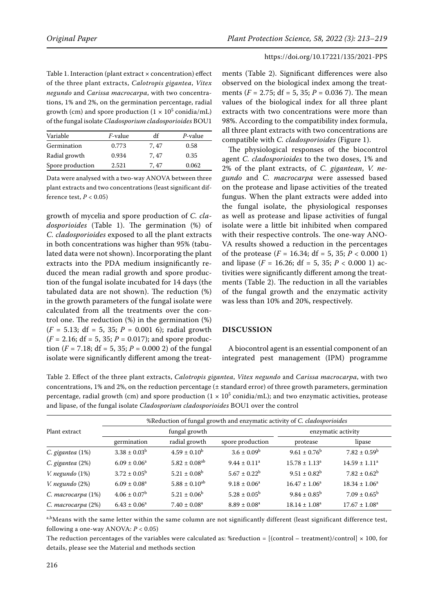Table 1. Interaction (plant extract  $\times$  concentration) effect of the three plant extracts, *Calotropis gigantea*, *Vitex negundo* and *Carissa macrocarpa*, with two concentrations, 1% and 2%, on the germination percentage, radial growth (cm) and spore production ( $1 \times 10^5$  conidia/mL) of the fungal isolate *Cladosporium cladosporioides* BOU1

| Variable         | <i>F</i> -value | df   | P-value |
|------------------|-----------------|------|---------|
| Germination      | 0.773           | 7.47 | 0.58    |
| Radial growth    | 0.934           | 7.47 | 0.35    |
| Spore production | 2.521           | 7.47 | 0.062   |

Data were analysed with a two-way ANOVA between three plant extracts and two concentrations (least significant difference test,  $P < 0.05$ )

growth of mycelia and spore production of *C. cladosporioides* (Table 1). The germination (%) of *C. cladosporioides* exposed to all the plant extracts in both concentrations was higher than 95% (tabulated data were not shown). Incorporating the plant extracts into the PDA medium insignificantly reduced the mean radial growth and spore production of the fungal isolate incubated for 14 days (the tabulated data are not shown). The reduction (%) in the growth parameters of the fungal isolate were calculated from all the treatments over the control one. The reduction (%) in the germination (%)  $(F = 5.13; df = 5, 35; P = 0.001 6);$  radial growth  $(F = 2.16; df = 5, 35; P = 0.017)$ ; and spore production ( $F = 7.18$ ; df = 5, 35;  $P = 0.0002$ ) of the fungal isolate were significantly different among the treatments (Table 2). Significant differences were also observed on the biological index among the treatments (*F* = 2.75; df = 5, 35; *P* = 0.036 7). The mean values of the biological index for all three plant extracts with two concentrations were more than 98%. According to the compatibility index formula, all three plant extracts with two concentrations are compatible with *C. cladosporioides* (Figure 1).

The physiological responses of the biocontrol agent *C. cladosporioides* to the two doses, 1% and 2% of the plant extracts, of *C. gigantean*, *V. negundo* and *C. macrocarpa* were assessed based on the protease and lipase activities of the treated fungus. When the plant extracts were added into the fungal isolate, the physiological responses as well as protease and lipase activities of fungal isolate were a little bit inhibited when compared with their respective controls. The one-way ANO-VA results showed a reduction in the percentages of the protease (*F* = 16.34; df = 5, 35; *P* < 0.000 1) and lipase  $(F = 16.26; df = 5, 35; P < 0.000 1)$  activities were significantly different among the treatments (Table 2). The reduction in all the variables of the fungal growth and the enzymatic activity was less than 10% and 20%, respectively.

### **DISCUSSION**

A biocontrol agent is an essential component of an integrated pest management (IPM) programme

Table 2. Effect of the three plant extracts, *Calotropis gigantea*, *Vitex negundo* and *Carissa macrocarpa*, with two concentrations, 1% and 2%, on the reduction percentage  $(±$  standard error) of three growth parameters, germination percentage, radial growth (cm) and spore production (1  $\times$  10<sup>5</sup> conidia/mL); and two enzymatic activities, protease and lipase, of the fungal isolate *Cladosporium cladosporioides* BOU1 over the control

|                      | %Reduction of fungal growth and enzymatic activity of C. cladosporioides |                               |                         |                         |                             |  |  |
|----------------------|--------------------------------------------------------------------------|-------------------------------|-------------------------|-------------------------|-----------------------------|--|--|
| Plant extract        | fungal growth                                                            |                               |                         | enzymatic activity      |                             |  |  |
|                      | germination                                                              | radial growth                 | spore production        | protease                | lipase                      |  |  |
| $C.$ gigantea $(1%)$ | $3.38 \pm 0.03^b$                                                        | $4.59 \pm 0.10^b$             | $3.6 \pm 0.09^{\rm b}$  | $9.61 \pm 0.76^{\rm b}$ | $7.82 \pm 0.59^{\rm b}$     |  |  |
| C. gigantea (2%)     | $6.09 \pm 0.06^a$                                                        | $5.82 \pm 0.08$ <sup>ab</sup> | $9.44 \pm 0.11^a$       | $15.78 \pm 1.13^a$      | $14.59 \pm 1.11^a$          |  |  |
| V. negundo (1%)      | $3.72 \pm 0.05^{\rm b}$                                                  | $5.21 \pm 0.08^b$             | $5.67 \pm 0.22^b$       | $9.51 \pm 0.82^b$       | $7.82 \pm 0.62^b$           |  |  |
| V. negundo (2%)      | $6.09 \pm 0.08$ <sup>a</sup>                                             | $5.88 \pm 0.10^{ab}$          | $9.18 \pm 0.06^a$       | $16.47 \pm 1.06^a$      | $18.34 \pm 1.06^a$          |  |  |
| C. macrocarpa (1%)   | $4.06 \pm 0.07^{\rm b}$                                                  | $5.21 \pm 0.06^b$             | $5.28 \pm 0.05^{\rm b}$ | $9.84 \pm 0.85^{\rm b}$ | $7.09 \pm 0.65^{\rm b}$     |  |  |
| C. macrocarpa (2%)   | $6.43 \pm 0.06^a$                                                        | $7.40 \pm 0.08$ <sup>a</sup>  | $8.89 \pm 0.08^a$       | $18.14 \pm 1.08^a$      | $17.67 \pm 1.08^{\text{a}}$ |  |  |

a,bMeans with the same letter within the same column are not significantly different (least significant difference test, following a one-way ANOVA: *P* < 0.05)

The reduction percentages of the variables were calculated as: %reduction =  $[(control - treatment)/control] \times 100$ , for details, please see the Material and methods section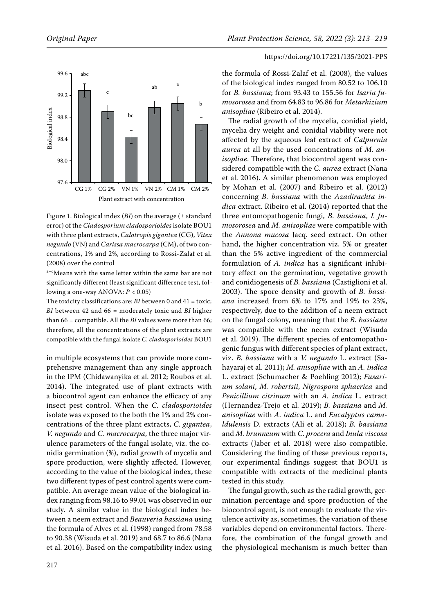



Figure 1. Biological index (*BI*) on the average (± standard error) of the *Cladosporium cladosporioides* isolate BOU1 with three plant extracts, *Calotropis gigantea* (CG), *Vitex negundo* (VN) and *Carissa macrocarpa* (CM), of two concentrations, 1% and 2%, according to Rossi-Zalaf et al. (2008) over the control

a-cMeans with the same letter within the same bar are not significantly different (least significant difference test, following a one-way ANOVA: *P* < 0.05)

The toxicity classifications are: *BI* between 0 and 41 = toxic; *BI* between 42 and 66 = moderately toxic and *BI* higher than 66 = compatible. All the *BI* values were more than 66; therefore, all the concentrations of the plant extracts are compatible with the fungal isolate *C. cladosporioides* BOU1

in multiple ecosystems that can provide more comprehensive management than any single approach in the IPM (Chidawanyika et al. 2012; Roubos et al. 2014). The integrated use of plant extracts with a biocontrol agent can enhance the efficacy of any insect pest control. When the *C. cladosporioides*  isolate was exposed to the both the 1% and 2% concentrations of the three plant extracts, *C. gigantea*, *V. negundo* and *C. macrocarpa*, the three major virulence parameters of the fungal isolate, viz. the conidia germination (%), radial growth of mycelia and spore production, were slightly affected. However, according to the value of the biological index, these two different types of pest control agents were compatible. An average mean value of the biological index ranging from 98.16 to 99.01 was observed in our study. A similar value in the biological index between a neem extract and *Beauveria bassiana* using the formula of Alves et al. (1998) ranged from 78.58 to 90.38 (Wisuda et al. 2019) and 68.7 to 86.6 (Nana et al. 2016). Based on the compatibility index using

the formula of Rossi-Zalaf et al. (2008), the values of the biological index ranged from 80.52 to 106.10 for *B. bassiana*; from 93.43 to 155.56 for *Isaria fumosorosea* and from 64.83 to 96.86 for *Metarhizium anisopliae* (Ribeiro et al. 2014).

The radial growth of the mycelia, conidial yield, mycelia dry weight and conidial viability were not affected by the aqueous leaf extract of *Calpurnia aurea* at all by the used concentrations of *M. anisopliae*. Therefore, that biocontrol agent was considered compatible with the *C. aurea* extract (Nana et al. 2016). A similar phenomenon was employed by Mohan et al. (2007) and Ribeiro et al. (2012) concerning *B. bassiana* with the *Azadirachta indica* extract. Ribeiro et al. (2014) reported that the three entomopathogenic fungi, *B. bassiana*, *I. fumosorosea* and *M. anisopliae* were compatible with the *Annona mucosa* Jacq. seed extract. On other hand, the higher concentration viz*.* 5% or greater than the 5% active ingredient of the commercial formulation of *A. indica* has a significant inhibitory effect on the germination, vegetative growth and conidiogenesis of *B. bassiana* (Castiglioni et al. 2003). The spore density and growth of *B. bassiana* increased from 6% to 17% and 19% to 23%, respectively, due to the addition of a neem extract on the fungal colony, meaning that the *B. bassiana*  was compatible with the neem extract (Wisuda et al. 2019). The different species of entomopathogenic fungus with different species of plant extract, viz. *B. bassiana* with a *V. negundo* L. extract (Sahayaraj et al. 2011); *M. anisopliae* with an *A. indica* L. extract (Schumacher & Poehling 2012); *Fusarium solani*, *M. robertsii*, *Nigrospora sphaerica* and *Penicillium citrinum* with an *A. indica* L. extract (Hernandez-Trejo et al. 2019); *B. bassiana* and *M. anisopliae* with *A. indica* L. and *Eucalyptus camaldulensis* D. extracts (Ali et al. 2018); *B. bassiana* and *M. brunneum* with *C. procera* and *Inula viscosa* extracts (Jaber et al. 2018) were also compatible. Considering the finding of these previous reports, our experimental findings suggest that BOU1 is compatible with extracts of the medicinal plants tested in this study.

The fungal growth, such as the radial growth, germination percentage and spore production of the biocontrol agent, is not enough to evaluate the virulence activity as, sometimes, the variation of these variables depend on environmental factors. Therefore, the combination of the fungal growth and the physiological mechanism is much better than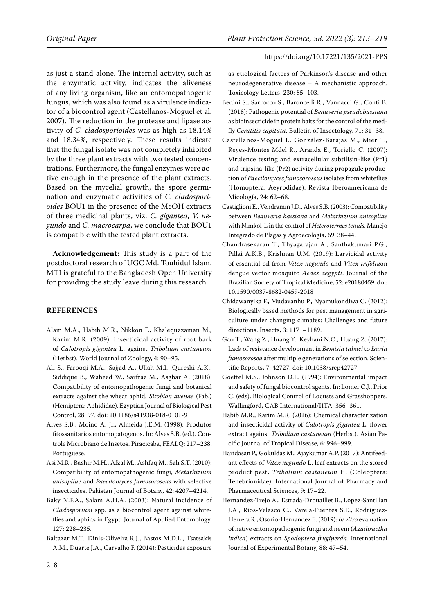as just a stand-alone. The internal activity, such as the enzymatic activity, indicates the aliveness of any living organism, like an entomopathogenic fungus, which was also found as a virulence indicator of a biocontrol agent (Castellanos-Moguel et al. 2007). The reduction in the protease and lipase activity of *C. cladosporioides* was as high as 18.14% and 18.34%, respectively. These results indicate that the fungal isolate was not completely inhibited by the three plant extracts with two tested concentrations. Furthermore, the fungal enzymes were active enough in the presence of the plant extracts. Based on the mycelial growth, the spore germination and enzymatic activities of *C. cladosporioides* BOU1 in the presence of the MeOH extracts of three medicinal plants, viz. *C. gigantea*, *V. negundo* and *C. macrocarpa*, we conclude that BOU1 is compatible with the tested plant extracts.

**Acknowledgement:** This study is a part of the postdoctoral research of UGC Md. Touhidul Islam. MTI is grateful to the Bangladesh Open University for providing the study leave during this research.

### **REFERENCES**

- Alam M.A., Habib M.R., Nikkon F., Khalequzzaman M., Karim M.R. (2009): Insecticidal activity of root bark of *Calotropis gigantea* L. against *Tribolium castaneum*  (Herbst). World Journal of Zoology, 4: 90–95.
- Ali S., Farooqi M.A., Sajjad A., Ullah M.I., Qureshi A.K., Siddique B., Waheed W., Sarfraz M., Asghar A. (2018): Compatibility of entomopathogenic fungi and botanical extracts against the wheat aphid, *Sitobion avenae* (Fab.) (Hemiptera: Aphididae). Egyptian Journal of Biological Pest Control, 28: 97. doi: 10.1186/s41938-018-0101-9
- Alves S.B., Moino A. Jr., Almeida J.E.M. (1998): Produtos fitossanitarios entomopatogenos. In: Alves S.B. (ed.). Controle Microbiano de Insetos. Piracicaba, FEALQ: 217–238. Portuguese.
- Asi M.R., Bashir M.H., Afzal M., Ashfaq M., Sah S.T. (2010): Compatibility of entomopathogenic fungi, *Metarhizium anisopliae* and *Paecilomyces fumosoroseus* with selective insecticides. Pakistan Journal of Botany, 42: 4207–4214.
- Baky N.F.A., Salam A.H.A. (2003): Natural incidence of *Cladosporium* spp. as a biocontrol agent against whiteflies and aphids in Egypt. Journal of Applied Entomology, 127: 228–235.
- Baltazar M.T., Dinis-Oliveira R.J., Bastos M.D.L., Tsatsakis A.M., Duarte J.A., Carvalho F. (2014): Pesticides exposure

as etiological factors of Parkinson's disease and other neurodegenerative disease – A mechanistic approach. Toxicology Letters, 230: 85–103.

- Bedini S., Sarrocco S., Baroncelli R., Vannacci G., Conti B. (2018): Pathogenic potential of *Beauveria pseudobassiana* as bioinsecticide in protein baits for the control of the medfly *Ceratitis capitata*. Bulletin of Insectology, 71: 31–38.
- Castellanos-Moguel J., González-Barajas M., Mier T., Reyes-Montes Mdel R., Aranda E., Toriello C. (2007): Virulence testing and extracellular subtilisin-like (Pr1) and tripsina-like (Pr2) activity during propagule production of *Paecilomyces fumosoroseus* isolates from whiteflies (Homoptera: Aeyrodidae). Revista Iberoamericana de Micología, 24: 62–68.
- Castiglioni E., Vendramin J.D., Alves S.B. (2003): Compatibility between *Beauveria bassiana* and *Metarhizium anisopliae*  with Nimkol-L in the control of *Heterotermes tenuis*. Manejo Integrado de Plagas y Agroecología, 69: 38–44.
- Chandrasekaran T., Thyagarajan A., Santhakumari P.G., Pillai A.K.B., Krishnan U.M. (2019): Larvicidal activity of essential oil from *Vitex negundo* and *Vitex trifolia*on dengue vector mosquito *Aedes aegypti*. Journal of the Brazilian Society of Tropical Medicine, 52: e20180459. doi: 10.1590/0037-8682-0459-2018
- Chidawanyika F., Mudavanhu P., Nyamukondiwa C. (2012): Biologically based methods for pest management in agriculture under changing climates: Challenges and future directions. Insects, 3: 1171–1189.
- Gao T., Wang Z., Huang Y., Keyhani N.O., Huang Z. (2017): Lack of resistance development in *Bemisia tabaci* to *Isaria fumosorosea* after multiple generations of selection. Scientific Reports, 7: 42727. doi: 10.1038/srep42727
- Goettel M.S., Johnson D.L. (1994): Environmental impact and safety of fungal biocontrol agents. In: Lomer C.J., Prior C. (eds). Biological Control of Locusts and Grasshoppers. Wallingford, CAB International/IITA: 356–361.
- Habib M.R., Karim M.R. (2016): Chemical characterization and insecticidal activity of *Calotropis gigantea* L. flower extract against *Tribolium castaneum* (Herbst). Asian Pacific Journal of Tropical Disease, 6: 996–999.
- Haridasan P., Gokuldas M., Ajaykumar A.P. (2017): Antifeedant effects of *Vitex negundo* L. leaf extracts on the stored product pest, *Tribolium castaneum* H. (Coleoptera: Tenebrionidae). International Journal of Pharmacy and Pharmaceutical Sciences, 9: 17–22.
- Hernandez-Trejo A., Estrada-Drouaillet B., Lopez-Santillan J.A., Rios-Velasco C., Varela-Fuentes S.E., Rodriguez-Herrera R., Osorio-Hernandez E. (2019): *In vitro* evaluation of native entomopathogenic fungi and neem (*Azadiractha indica*) extracts on *Spodoptera frugiperda*. International Journal of Experimental Botany, 88: 47–54.